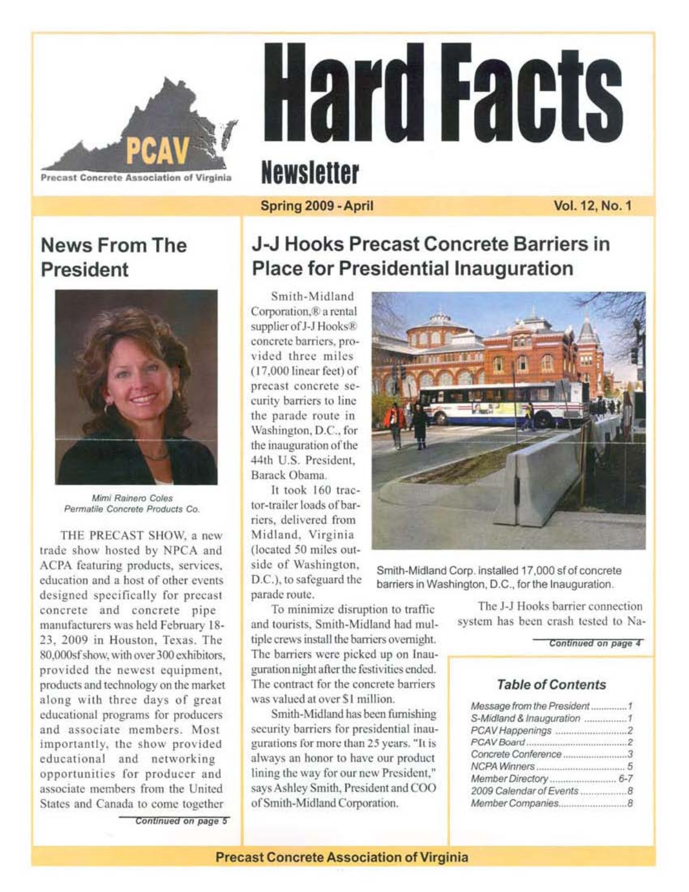

# **Hard Facts Newsletter**

## Spring 2009 - April

Vol. 12, No. 1

# **News From The** President



Mimi Rainero Coles Permatile Concrete Products Co.

THE PRECAST SHOW, a new trade show hosted by NPCA and ACPA featuring products, services, education and a host of other events designed specifically for precast concrete and concrete pipe manufacturers was held February 18-23. 2009 in Houston, Texas, The 80,000sf show, with over 300 exhibitors. provided the newest equipment, products and technology on the market along with three days of great educational programs for producers and associate members. Most importantly, the show provided educational and networking opportunities for producer and associate members from the United States and Canada to come together

Continued on page 5

## J-J Hooks Precast Concrete Barriers in **Place for Presidential Inauguration**

Smith-Midland Corporation.<sup>®</sup> a rental supplier of J-J Hooks® concrete barriers, provided three miles  $(17.000$  linear feet) of precast concrete security barriers to line the parade route in Washington, D.C., for the inauguration of the 44th U.S. President, Barack Obama.

It took 160 tractor-trailer loads of barriers, delivered from Midland, Virginia (located 50 miles outside of Washington, D.C.), to safeguard the parade route.

To minimize disruption to traffic and tourists, Smith-Midland had multiple crews install the barriers overnight. The barriers were picked up on Inauguration night after the festivities ended. The contract for the concrete barriers was valued at over \$1 million.

Smith-Midland has been furnishing security barriers for presidential inaugurations for more than 25 years. "It is always an honor to have our product lining the way for our new President," says Ashley Smith, President and COO of Smith-Midland Corporation.



Smith-Midland Corp. installed 17,000 sf of concrete barriers in Washington, D.C., for the Inauguration.

> The J-J Hooks barrier connection system has been crash tested to Na-

> > Continued on page 4

## **Table of Contents**

| Message from the President 1         |
|--------------------------------------|
|                                      |
|                                      |
|                                      |
| Concrete Conference 3                |
| 5                                    |
|                                      |
| 2009 Calendar of Events<br>$\cdot$ R |
| Member Companies<br>. 8              |